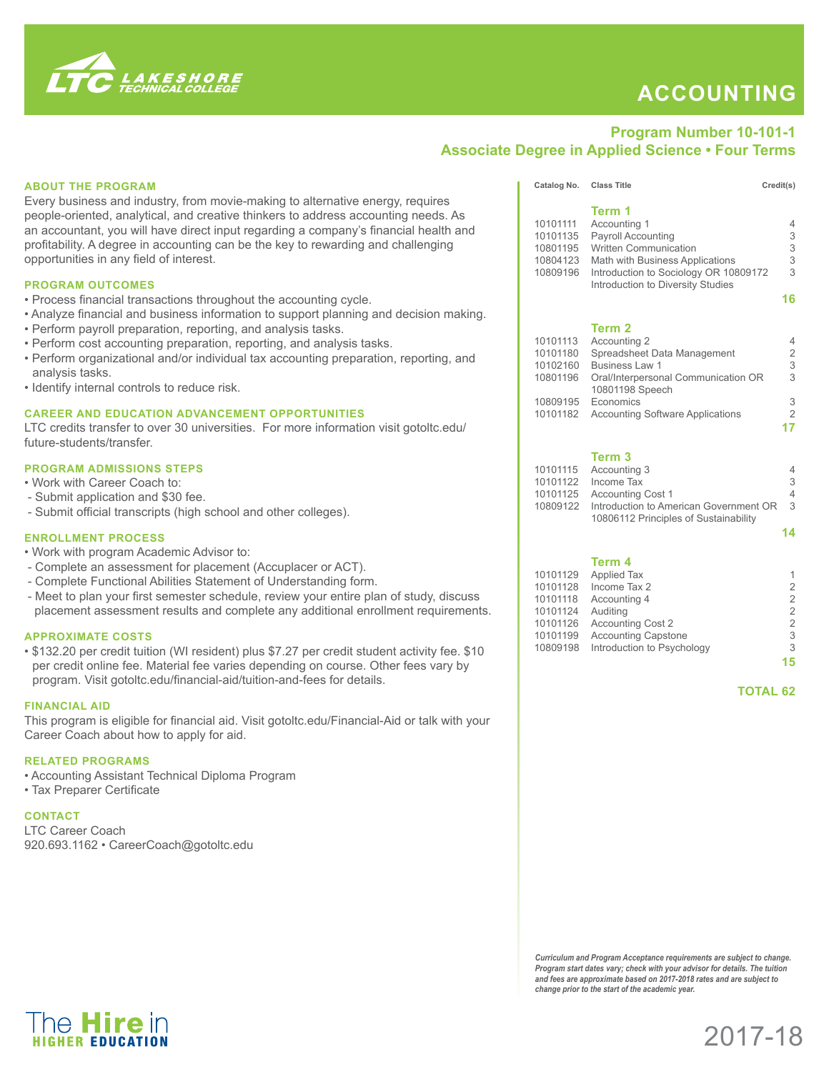

The **Hire** in

## **ACCOUNTING**

## **Program Number 10-101-1 Associate Degree in Applied Science • Four Terms**

| <b>ABOUT THE PROGRAM</b>                                                                                                                                                                                                                                                                                                                                                                                                                                                                                                                             | Catalog No. Class Title                                                                                                                                                                                                                                                        |                                                                                                                                                                                                                                                      | Credit(s)                                                                          |
|------------------------------------------------------------------------------------------------------------------------------------------------------------------------------------------------------------------------------------------------------------------------------------------------------------------------------------------------------------------------------------------------------------------------------------------------------------------------------------------------------------------------------------------------------|--------------------------------------------------------------------------------------------------------------------------------------------------------------------------------------------------------------------------------------------------------------------------------|------------------------------------------------------------------------------------------------------------------------------------------------------------------------------------------------------------------------------------------------------|------------------------------------------------------------------------------------|
| Every business and industry, from movie-making to alternative energy, requires<br>people-oriented, analytical, and creative thinkers to address accounting needs. As<br>an accountant, you will have direct input regarding a company's financial health and<br>profitability. A degree in accounting can be the key to rewarding and challenging<br>opportunities in any field of interest.                                                                                                                                                         | 10101111<br>10101135<br>10801195<br>10804123                                                                                                                                                                                                                                   | Term 1<br>Accounting 1<br>Payroll Accounting<br><b>Written Communication</b><br>Math with Business Applications                                                                                                                                      | $\overline{4}$<br>3<br>3<br>3                                                      |
|                                                                                                                                                                                                                                                                                                                                                                                                                                                                                                                                                      | 10809196                                                                                                                                                                                                                                                                       | Introduction to Sociology OR 10809172                                                                                                                                                                                                                | 3                                                                                  |
| <b>PROGRAM OUTCOMES</b><br>• Process financial transactions throughout the accounting cycle.<br>• Analyze financial and business information to support planning and decision making.<br>• Perform payroll preparation, reporting, and analysis tasks.<br>• Perform cost accounting preparation, reporting, and analysis tasks.<br>• Perform organizational and/or individual tax accounting preparation, reporting, and<br>analysis tasks.<br>• Identify internal controls to reduce risk.<br><b>CAREER AND EDUCATION ADVANCEMENT OPPORTUNITIES</b> | 10101113<br>10101180<br>10102160<br>10801196                                                                                                                                                                                                                                   | Introduction to Diversity Studies<br>Term <sub>2</sub><br>Accounting 2<br>Spreadsheet Data Management<br>Business Law 1<br>Oral/Interpersonal Communication OR<br>10801198 Speech<br>10809195 Economics<br>10101182 Accounting Software Applications | 16<br>4<br>$\overline{c}$<br>3<br>3<br>$\frac{3}{2}$                               |
| LTC credits transfer to over 30 universities. For more information visit gotoltc.edu/<br>future-students/transfer.                                                                                                                                                                                                                                                                                                                                                                                                                                   |                                                                                                                                                                                                                                                                                |                                                                                                                                                                                                                                                      | 17                                                                                 |
| <b>PROGRAM ADMISSIONS STEPS</b><br>. Work with Career Coach to:<br>- Submit application and \$30 fee.<br>- Submit official transcripts (high school and other colleges).                                                                                                                                                                                                                                                                                                                                                                             |                                                                                                                                                                                                                                                                                | Term <sub>3</sub><br>10101115 Accounting 3<br>10101122 Income Tax<br>10101125 Accounting Cost 1<br>10809122 Introduction to American Government OR<br>10806112 Principles of Sustainability                                                          | 4<br>3<br>4<br>3                                                                   |
| <b>ENROLLMENT PROCESS</b>                                                                                                                                                                                                                                                                                                                                                                                                                                                                                                                            |                                                                                                                                                                                                                                                                                |                                                                                                                                                                                                                                                      | 14                                                                                 |
| . Work with program Academic Advisor to:<br>- Complete an assessment for placement (Accuplacer or ACT).<br>- Complete Functional Abilities Statement of Understanding form.<br>- Meet to plan your first semester schedule, review your entire plan of study, discuss<br>placement assessment results and complete any additional enrollment requirements.<br><b>APPROXIMATE COSTS</b>                                                                                                                                                               | 10101129<br>10101128<br>10101118<br>10101124<br>10101126<br>10101199                                                                                                                                                                                                           | Term 4<br><b>Applied Tax</b><br>Income Tax 2<br>Accounting 4<br>Auditing<br><b>Accounting Cost 2</b><br><b>Accounting Capstone</b>                                                                                                                   | $\overline{\mathbf{c}}$<br>$\overline{a}$<br>$\overline{a}$<br>$\overline{2}$<br>3 |
| • \$132.20 per credit tuition (WI resident) plus \$7.27 per credit student activity fee. \$10<br>per credit online fee. Material fee varies depending on course. Other fees vary by<br>program. Visit gotoltc.edu/financial-aid/tuition-and-fees for details.                                                                                                                                                                                                                                                                                        | 10809198                                                                                                                                                                                                                                                                       | Introduction to Psychology<br><b>TOTAL 62</b>                                                                                                                                                                                                        | 3<br>15                                                                            |
| <b>FINANCIAL AID</b><br>This program is eligible for financial aid. Visit gotoltc.edu/Financial-Aid or talk with your<br>Career Coach about how to apply for aid.                                                                                                                                                                                                                                                                                                                                                                                    |                                                                                                                                                                                                                                                                                |                                                                                                                                                                                                                                                      |                                                                                    |
| <b>RELATED PROGRAMS</b><br>• Accounting Assistant Technical Diploma Program<br>• Tax Preparer Certificate                                                                                                                                                                                                                                                                                                                                                                                                                                            |                                                                                                                                                                                                                                                                                |                                                                                                                                                                                                                                                      |                                                                                    |
| <b>CONTACT</b><br><b>LTC Career Coach</b><br>920.693.1162 · CareerCoach@gotoltc.edu                                                                                                                                                                                                                                                                                                                                                                                                                                                                  |                                                                                                                                                                                                                                                                                |                                                                                                                                                                                                                                                      |                                                                                    |
|                                                                                                                                                                                                                                                                                                                                                                                                                                                                                                                                                      |                                                                                                                                                                                                                                                                                |                                                                                                                                                                                                                                                      |                                                                                    |
|                                                                                                                                                                                                                                                                                                                                                                                                                                                                                                                                                      |                                                                                                                                                                                                                                                                                |                                                                                                                                                                                                                                                      |                                                                                    |
|                                                                                                                                                                                                                                                                                                                                                                                                                                                                                                                                                      | Curriculum and Program Acceptance requirements are subject to change.<br>Program start dates vary; check with your advisor for details. The tuition<br>and fees are approximate based on 2017-2018 rates and are subject to<br>change prior to the start of the academic year. |                                                                                                                                                                                                                                                      |                                                                                    |